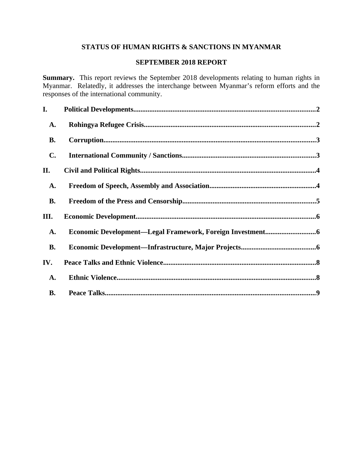# **STATUS OF HUMAN RIGHTS & SANCTIONS IN MYANMAR**

## **SEPTEMBER 2018 REPORT**

**Summary.** This report reviews the September 2018 developments relating to human rights in Myanmar. Relatedly, it addresses the interchange between Myanmar's reform efforts and the responses of the international community.

| I.             |                                                           |  |
|----------------|-----------------------------------------------------------|--|
| <b>A.</b>      |                                                           |  |
| <b>B.</b>      |                                                           |  |
| $\mathbf{C}$ . |                                                           |  |
| Н.             |                                                           |  |
| <b>A.</b>      |                                                           |  |
| <b>B.</b>      |                                                           |  |
| III.           |                                                           |  |
| A.             | Economic Development-Legal Framework, Foreign Investment6 |  |
| <b>B.</b>      |                                                           |  |
| IV.            |                                                           |  |
| <b>A.</b>      |                                                           |  |
| <b>B.</b>      |                                                           |  |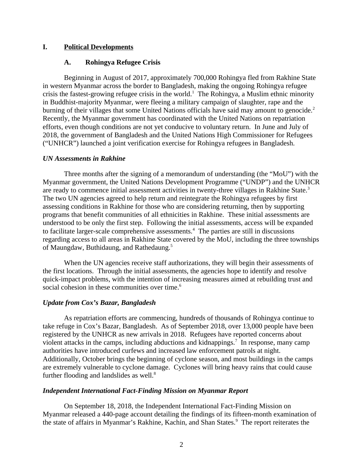## **I. Political Developments**

## <span id="page-1-1"></span><span id="page-1-0"></span>**A. Rohingya Refugee Crisis**

Beginning in August of 2017, approximately 700,000 Rohingya fled from Rakhine State in western Myanmar across the border to Bangladesh, making the ongoing Rohingya refugee crisis the fastest-growing refugee crisis in the world.<sup>1</sup> The Rohingya, a Muslim ethnic minority in Buddhist-majority Myanmar, were fleeing a military campaign of slaughter, rape and the burning of their villages that some United Nations officials have said may amount to genocide.<sup>2</sup> Recently, the Myanmar government has coordinated with the United Nations on repatriation efforts, even though conditions are not yet conducive to voluntary return. In June and July of 2018, the government of Bangladesh and the United Nations High Commissioner for Refugees ("UNHCR") launched a joint verification exercise for Rohingya refugees in Bangladesh.

## *UN Assessments in Rakhine*

Three months after the signing of a memorandum of understanding (the "MoU") with the Myanmar government, the United Nations Development Programme ("UNDP") and the UNHCR are ready to commence initial assessment activities in twenty-three villages in Rakhine State.<sup>3</sup> The two UN agencies agreed to help return and reintegrate the Rohingya refugees by first assessing conditions in Rakhine for those who are considering returning, then by supporting programs that benefit communities of all ethnicities in Rakhine. These initial assessments are understood to be only the first step. Following the initial assessments, access will be expanded to facilitate larger-scale comprehensive assessments.<sup>4</sup> The parties are still in discussions regarding access to all areas in Rakhine State covered by the MoU, including the three townships of Maungdaw, Buthidaung, and Rathedaung.<sup>5</sup>

When the UN agencies receive staff authorizations, they will begin their assessments of the first locations. Through the initial assessments, the agencies hope to identify and resolve quick-impact problems, with the intention of increasing measures aimed at rebuilding trust and social cohesion in these communities over time.<sup>6</sup>

## *Update from Cox's Bazar, Bangladesh*

As repatriation efforts are commencing, hundreds of thousands of Rohingya continue to take refuge in Cox's Bazar, Bangladesh. As of September 2018, over 13,000 people have been registered by the UNHCR as new arrivals in 2018. Refugees have reported concerns about violent attacks in the camps, including abductions and kidnappings.<sup>7</sup> In response, many camp authorities have introduced curfews and increased law enforcement patrols at night. Additionally, October brings the beginning of cyclone season, and most buildings in the camps are extremely vulnerable to cyclone damage. Cyclones will bring heavy rains that could cause further flooding and landslides as well. $8$ 

## *Independent International Fact-Finding Mission on Myanmar Report*

On September 18, 2018, the Independent International Fact-Finding Mission on Myanmar released a 440-page account detailing the findings of its fifteen-month examination of the state of affairs in Myanmar's Rakhine, Kachin, and Shan States.<sup>9</sup> The report reiterates the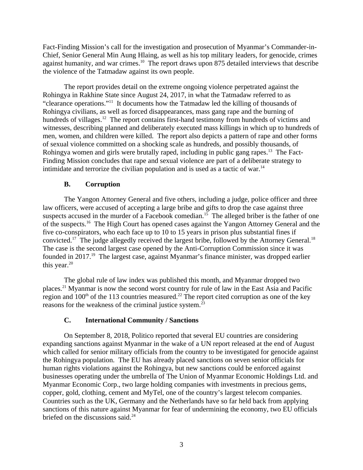Fact-Finding Mission's call for the investigation and prosecution of Myanmar's Commander-in-Chief, Senior General Min Aung Hlaing, as well as his top military leaders, for genocide, crimes against humanity, and war crimes.<sup>10</sup> The report draws upon 875 detailed interviews that describe the violence of the Tatmadaw against its own people.

The report provides detail on the extreme ongoing violence perpetrated against the Rohingya in Rakhine State since August 24, 2017, in what the Tatmadaw referred to as "clearance operations."<sup>11</sup> It documents how the Tatmadaw led the killing of thousands of Rohingya civilians, as well as forced disappearances, mass gang rape and the burning of hundreds of villages.<sup>12</sup> The report contains first-hand testimony from hundreds of victims and witnesses, describing planned and deliberately executed mass killings in which up to hundreds of men, women, and children were killed. The report also depicts a pattern of rape and other forms of sexual violence committed on a shocking scale as hundreds, and possibly thousands, of Rohingya women and girls were brutally raped, including in public gang rapes.<sup>13</sup> The Fact-Finding Mission concludes that rape and sexual violence are part of a deliberate strategy to intimidate and terrorize the civilian population and is used as a tactic of war. $14$ 

# <span id="page-2-1"></span>**B. Corruption**

The Yangon Attorney General and five others, including a judge, police officer and three law officers, were accused of accepting a large bribe and gifts to drop the case against three suspects accused in the murder of a Facebook comedian.<sup>15</sup> The alleged briber is the father of one of the suspects.<sup>16</sup> The High Court has opened cases against the Yangon Attorney General and the five co-conspirators, who each face up to 10 to 15 years in prison plus substantial fines if convicted.<sup>17</sup> The judge allegedly received the largest bribe, followed by the Attorney General.<sup>18</sup> The case is the second largest case opened by the Anti-Corruption Commission since it was founded in 2017.<sup>19</sup> The largest case, against Myanmar's finance minister, was dropped earlier this year. $20$ 

The global rule of law index was published this month, and Myanmar dropped two places.<sup>21</sup> Myanmar is now the second worst country for rule of law in the East Asia and Pacific region and  $100<sup>th</sup>$  of the 113 countries measured.<sup>22</sup> The report cited corruption as one of the key reasons for the weakness of the criminal justice system.<sup>23</sup>

## <span id="page-2-0"></span>**C. International Community / Sanctions**

On September 8, 2018, Politico reported that several EU countries are considering expanding sanctions against Myanmar in the wake of a UN report released at the end of August which called for senior military officials from the country to be investigated for genocide against the Rohingya population. The EU has already placed sanctions on seven senior officials for human rights violations against the Rohingya, but new sanctions could be enforced against businesses operating under the umbrella of The Union of Myanmar Economic Holdings Ltd. and Myanmar Economic Corp., two large holding companies with investments in precious gems, copper, gold, clothing, cement and MyTel, one of the country's largest telecom companies. Countries such as the UK, Germany and the Netherlands have so far held back from applying sanctions of this nature against Myanmar for fear of undermining the economy, two EU officials briefed on the discussions said.<sup>24</sup>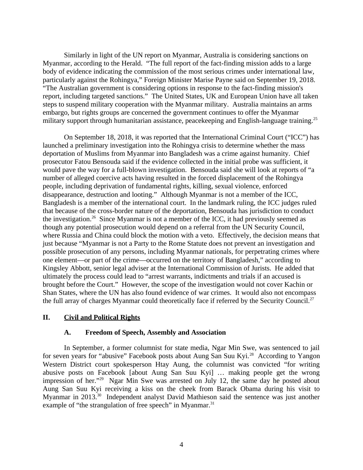Similarly in light of the UN report on Myanmar, Australia is considering sanctions on Myanmar, according to the Herald. "The full report of the fact-finding mission adds to a large body of evidence indicating the commission of the most serious crimes under international law, particularly against the Rohingya," Foreign Minister Marise Payne said on September 19, 2018. "The Australian government is considering options in response to the fact-finding mission's report, including targeted sanctions." The United States, UK and European Union have all taken steps to suspend military cooperation with the Myanmar military. Australia maintains an arms embargo, but rights groups are concerned the government continues to offer the Myanmar military support through humanitarian assistance, peacekeeping and English-language training.<sup>25</sup>

On September 18, 2018, it was reported that the International Criminal Court ("ICC") has launched a preliminary investigation into the Rohingya crisis to determine whether the mass deportation of Muslims from Myanmar into Bangladesh was a crime against humanity. Chief prosecutor Fatou Bensouda said if the evidence collected in the initial probe was sufficient, it would pave the way for a full-blown investigation. Bensouda said she will look at reports of "a number of alleged coercive acts having resulted in the forced displacement of the Rohingya people, including deprivation of fundamental rights, killing, sexual violence, enforced disappearance, destruction and looting." Although Myanmar is not a member of the ICC, Bangladesh is a member of the international court. In the landmark ruling, the ICC judges ruled that because of the cross-border nature of the deportation, Bensouda has jurisdiction to conduct the investigation.<sup>26</sup> Since Myanmar is not a member of the ICC, it had previously seemed as though any potential prosecution would depend on a referral from the UN Security Council, where Russia and China could block the motion with a veto. Effectively, the decision means that just because "Myanmar is not a Party to the Rome Statute does not prevent an investigation and possible prosecution of any persons, including Myanmar nationals, for perpetrating crimes where one element—or part of the crime—occurred on the territory of Bangladesh," according to Kingsley Abbott, senior legal adviser at the International Commission of Jurists. He added that ultimately the process could lead to "arrest warrants, indictments and trials if an accused is brought before the Court." However, the scope of the investigation would not cover Kachin or Shan States, where the UN has also found evidence of war crimes. It would also not encompass the full array of charges Myanmar could theoretically face if referred by the Security Council.<sup>27</sup>

## **II. Civil and Political Rights**

## <span id="page-3-1"></span><span id="page-3-0"></span>**A. Freedom of Speech, Assembly and Association**

In September, a former columnist for state media, Ngar Min Swe, was sentenced to jail for seven years for "abusive" Facebook posts about Aung San Suu Kyi.<sup>28</sup> According to Yangon Western District court spokesperson Htay Aung, the columnist was convicted "for writing abusive posts on Facebook [about Aung San Suu Kyi] … making people get the wrong impression of her."<sup>29</sup> Ngar Min Swe was arrested on July 12, the same day he posted about Aung San Suu Kyi receiving a kiss on the cheek from Barack Obama during his visit to Myanmar in 2013.<sup>30</sup> Independent analyst David Mathieson said the sentence was just another example of "the strangulation of free speech" in Myanmar. $31$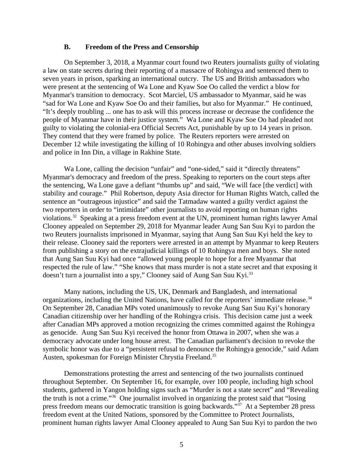#### <span id="page-4-0"></span>**B. Freedom of the Press and Censorship**

On September 3, 2018, a Myanmar court found two Reuters journalists guilty of violating a law on state secrets during their reporting of a massacre of Rohingya and sentenced them to seven years in prison, sparking an international outcry. The US and British ambassadors who were present at the sentencing of Wa Lone and Kyaw Soe Oo called the verdict a blow for Myanmar's transition to democracy. Scot Marciel, US ambassador to Myanmar, said he was "sad for Wa Lone and Kyaw Soe Oo and their families, but also for Myanmar." He continued, "It's deeply troubling ... one has to ask will this process increase or decrease the confidence the people of Myanmar have in their justice system." Wa Lone and Kyaw Soe Oo had pleaded not guilty to violating the colonial-era Official Secrets Act, punishable by up to 14 years in prison. They contend that they were framed by police. The Reuters reporters were arrested on December 12 while investigating the killing of 10 Rohingya and other abuses involving soldiers and police in Inn Din, a village in Rakhine State.

Wa Lone, calling the decision "unfair" and "one-sided," said it "directly threatens" Myanmar's democracy and freedom of the press. Speaking to reporters on the court steps after the sentencing, Wa Lone gave a defiant "thumbs up" and said, "We will face [the verdict] with stability and courage." Phil Robertson, deputy Asia director for Human Rights Watch, called the sentence an "outrageous injustice" and said the Tatmadaw wanted a guilty verdict against the two reporters in order to "intimidate" other journalists to avoid reporting on human rights violations.<sup>32</sup> Speaking at a press freedom event at the UN, prominent human rights lawyer Amal Clooney appealed on September 29, 2018 for Myanmar leader Aung San Suu Kyi to pardon the two Reuters journalists imprisoned in Myanmar, saying that Aung San Suu Kyi held the key to their release. Clooney said the reporters were arrested in an attempt by Myanmar to keep Reuters from publishing a story on the extrajudicial killings of 10 Rohingya men and boys. She noted that Aung San Suu Kyi had once "allowed young people to hope for a free Myanmar that respected the rule of law." "She knows that mass murder is not a state secret and that exposing it doesn't turn a journalist into a spy," Clooney said of Aung San Suu Kyi.<sup>33</sup>

Many nations, including the US, UK, Denmark and Bangladesh, and international organizations, including the United Nations, have called for the reporters' immediate release. $34$ On September 28, Canadian MPs voted unanimously to revoke Aung San Suu Kyi's honorary Canadian citizenship over her handling of the Rohingya crisis. This decision came just a week after Canadian MPs approved a motion recognizing the crimes committed against the Rohingya as genocide. Aung San Suu Kyi received the honor from Ottawa in 2007, when she was a democracy advocate under long house arrest. The Canadian parliament's decision to revoke the symbolic honor was due to a "persistent refusal to denounce the Rohingya genocide," said Adam Austen, spokesman for Foreign Minister Chrystia Freeland.<sup>35</sup>

Demonstrations protesting the arrest and sentencing of the two journalists continued throughout September. On September 16, for example, over 100 people, including high school students, gathered in Yangon holding signs such as "Murder is not a state secret" and "Revealing the truth is not a crime."<sup>36</sup> One journalist involved in organizing the protest said that "losing press freedom means our democratic transition is going backwards."<sup>37</sup> At a September 28 press freedom event at the United Nations, sponsored by the Committee to Protect Journalists, prominent human rights lawyer Amal Clooney appealed to Aung San Suu Kyi to pardon the two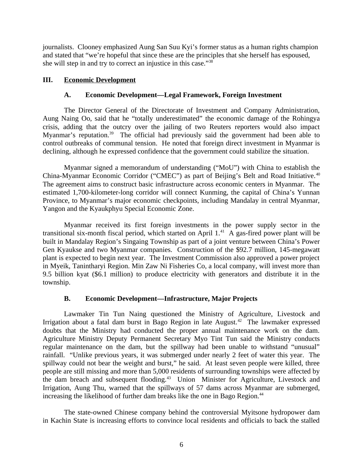journalists. Clooney emphasized Aung San Suu Kyi's former status as a human rights champion and stated that "we're hopeful that since these are the principles that she herself has espoused, she will step in and try to correct an injustice in this case."<sup>38</sup>

## **III. Economic Development**

#### <span id="page-5-2"></span><span id="page-5-1"></span>**A. Economic Development—Legal Framework, Foreign Investment**

The Director General of the Directorate of Investment and Company Administration, Aung Naing Oo, said that he "totally underestimated" the economic damage of the Rohingya crisis, adding that the outcry over the jailing of two Reuters reporters would also impact Myanmar's reputation.<sup>39</sup> The official had previously said the government had been able to control outbreaks of communal tension. He noted that foreign direct investment in Myanmar is declining, although he expressed confidence that the government could stabilize the situation.

Myanmar signed a memorandum of understanding ("MoU") with China to establish the China-Myanmar Economic Corridor ("CMEC") as part of Beijing's Belt and Road Initiative.<sup>40</sup> The agreement aims to construct basic infrastructure across economic centers in Myanmar. The estimated 1,700-kilometer-long corridor will connect Kunming, the capital of China's Yunnan Province, to Myanmar's major economic checkpoints, including Mandalay in central Myanmar, Yangon and the Kyaukphyu Special Economic Zone.

Myanmar received its first foreign investments in the power supply sector in the transitional six-month fiscal period, which started on April  $1.^{41}$ . A gas-fired power plant will be built in Mandalay Region's Singaing Township as part of a joint venture between China's Power Gen Kyaukse and two Myanmar companies. Construction of the \$92.7 million, 145-megawatt plant is expected to begin next year. The Investment Commission also approved a power project in Myeik, Tanintharyi Region. Min Zaw Ni Fisheries Co, a local company, will invest more than 9.5 billion kyat (\$6.1 million) to produce electricity with generators and distribute it in the township.

## <span id="page-5-0"></span>**B. Economic Development—Infrastructure, Major Projects**

Lawmaker Tin Tun Naing questioned the Ministry of Agriculture, Livestock and Irrigation about a fatal dam burst in Bago Region in late August.<sup>42</sup> The lawmaker expressed doubts that the Ministry had conducted the proper annual maintenance work on the dam. Agriculture Ministry Deputy Permanent Secretary Myo Tint Tun said the Ministry conducts regular maintenance on the dam, but the spillway had been unable to withstand "unusual" rainfall. "Unlike previous years, it was submerged under nearly 2 feet of water this year. The spillway could not bear the weight and burst," he said. At least seven people were killed, three people are still missing and more than 5,000 residents of surrounding townships were affected by the dam breach and subsequent flooding.<sup>43</sup> Union Minister for Agriculture, Livestock and Irrigation, Aung Thu, warned that the spillways of 57 dams across Myanmar are submerged, increasing the likelihood of further dam breaks like the one in Bago Region.<sup>44</sup>

The state-owned Chinese company behind the controversial Myitsone hydropower dam in Kachin State is increasing efforts to convince local residents and officials to back the stalled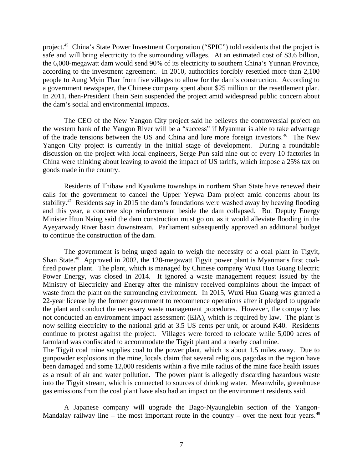project.<sup>45</sup> China's State Power Investment Corporation ("SPIC") told residents that the project is safe and will bring electricity to the surrounding villages. At an estimated cost of \$3.6 billion, the 6,000-megawatt dam would send 90% of its electricity to southern China's Yunnan Province, according to the investment agreement. In 2010, authorities forcibly resettled more than 2,100 people to Aung Myin Thar from five villages to allow for the dam's construction. According to a government newspaper, the Chinese company spent about \$25 million on the resettlement plan. In 2011, then-President Thein Sein suspended the project amid widespread public concern about the dam's social and environmental impacts.

The CEO of the New Yangon City project said he believes the controversial project on the western bank of the Yangon River will be a "success" if Myanmar is able to take advantage of the trade tensions between the US and China and lure more foreign investors.<sup>46</sup> The New Yangon City project is currently in the initial stage of development. During a roundtable discussion on the project with local engineers, Serge Pun said nine out of every 10 factories in China were thinking about leaving to avoid the impact of US tariffs, which impose a 25% tax on goods made in the country.

Residents of Thibaw and Kyaukme townships in northern Shan State have renewed their calls for the government to cancel the Upper Yeywa Dam project amid concerns about its stability.<sup>47</sup> Residents say in 2015 the dam's foundations were washed away by heaving flooding and this year, a concrete slop reinforcement beside the dam collapsed. But Deputy Energy Minister Htun Naing said the dam construction must go on, as it would alleviate flooding in the Ayeyarwady River basin downstream. Parliament subsequently approved an additional budget to continue the construction of the dam.

The government is being urged again to weigh the necessity of a coal plant in Tigyit, Shan State.<sup>48</sup> Approved in 2002, the 120-megawatt Tigyit power plant is Myanmar's first coalfired power plant. The plant, which is managed by Chinese company Wuxi Hua Guang Electric Power Energy, was closed in 2014. It ignored a waste management request issued by the Ministry of Electricity and Energy after the ministry received complaints about the impact of waste from the plant on the surrounding environment. In 2015, Wuxi Hua Guang was granted a 22-year license by the former government to recommence operations after it pledged to upgrade the plant and conduct the necessary waste management procedures. However, the company has not conducted an environment impact assessment (EIA), which is required by law. The plant is now selling electricity to the national grid at 3.5 US cents per unit, or around K40. Residents continue to protest against the project. Villages were forced to relocate while 5,000 acres of farmland was confiscated to accommodate the Tigyit plant and a nearby coal mine. The Tigyit coal mine supplies coal to the power plant, which is about 1.5 miles away. Due to

gunpowder explosions in the mine, locals claim that several religious pagodas in the region have been damaged and some 12,000 residents within a five mile radius of the mine face health issues as a result of air and water pollution. The power plant is allegedly discarding hazardous waste into the Tigyit stream, which is connected to sources of drinking water. Meanwhile, greenhouse gas emissions from the coal plant have also had an impact on the environment residents said.

A Japanese company will upgrade the Bago-Nyaunglebin section of the Yangon-Mandalay railway line – the most important route in the country – over the next four years.<sup>49</sup>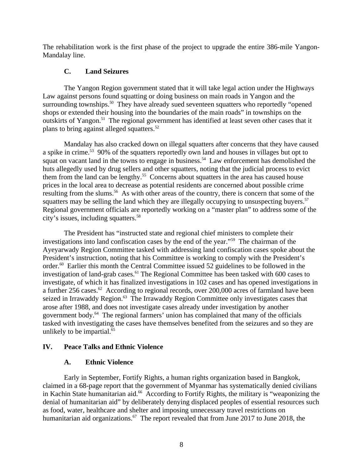The rehabilitation work is the first phase of the project to upgrade the entire 386-mile Yangon-Mandalay line.

# **C. Land Seizures**

The Yangon Region government stated that it will take legal action under the Highways Law against persons found squatting or doing business on main roads in Yangon and the surrounding townships.<sup>50</sup> They have already sued seventeen squatters who reportedly "opened shops or extended their housing into the boundaries of the main roads" in townships on the outskirts of Yangon.<sup>51</sup> The regional government has identified at least seven other cases that it plans to bring against alleged squatters.<sup>52</sup>

Mandalay has also cracked down on illegal squatters after concerns that they have caused a spike in crime.<sup>53</sup> 90% of the squatters reportedly own land and houses in villages but opt to squat on vacant land in the towns to engage in business.<sup>54</sup> Law enforcement has demolished the huts allegedly used by drug sellers and other squatters, noting that the judicial process to evict them from the land can be lengthy.<sup>55</sup> Concerns about squatters in the area has caused house prices in the local area to decrease as potential residents are concerned about possible crime resulting from the slums.<sup>56</sup> As with other areas of the country, there is concern that some of the squatters may be selling the land which they are illegally occupying to unsuspecting buyers. $57$ Regional government officials are reportedly working on a "master plan" to address some of the city's issues, including squatters.<sup>58</sup>

The President has "instructed state and regional chief ministers to complete their investigations into land confiscation cases by the end of the year."<sup>59</sup> The chairman of the Ayeyarwady Region Committee tasked with addressing land confiscation cases spoke about the President's instruction, noting that his Committee is working to comply with the President's order.<sup>60</sup> Earlier this month the Central Committee issued 52 guidelines to be followed in the investigation of land-grab cases.<sup>61</sup> The Regional Committee has been tasked with 600 cases to investigate, of which it has finalized investigations in 102 cases and has opened investigations in a further 256 cases. $62$  According to regional records, over 200,000 acres of farmland have been seized in Irrawaddy Region.<sup>63</sup> The Irrawaddy Region Committee only investigates cases that arose after 1988, and does not investigate cases already under investigation by another government body. $64$  The regional farmers' union has complained that many of the officials tasked with investigating the cases have themselves benefited from the seizures and so they are unlikely to be impartial. $65$ 

## **IV. Peace Talks and Ethnic Violence**

## <span id="page-7-1"></span><span id="page-7-0"></span>**A. Ethnic Violence**

Early in September, Fortify Rights, a human rights organization based in Bangkok, claimed in a 68-page report that the government of Myanmar has systematically denied civilians in Kachin State humanitarian aid.<sup>66</sup> According to Fortify Rights, the military is "weaponizing the denial of humanitarian aid" by deliberately denying displaced peoples of essential resources such as food, water, healthcare and shelter and imposing unnecessary travel restrictions on humanitarian aid organizations.<sup>67</sup> The report revealed that from June 2017 to June 2018, the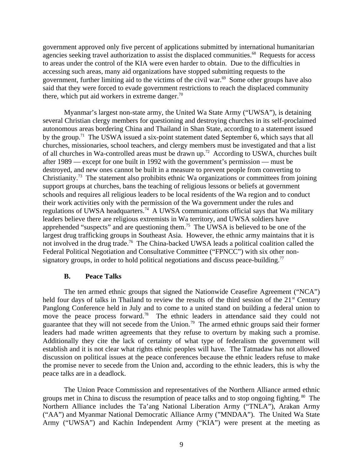government approved only five percent of applications submitted by international humanitarian agencies seeking travel authorization to assist the displaced communities.<sup>68</sup> Requests for access to areas under the control of the KIA were even harder to obtain. Due to the difficulties in accessing such areas, many aid organizations have stopped submitting requests to the government, further limiting aid to the victims of the civil war. $69$  Some other groups have also said that they were forced to evade government restrictions to reach the displaced community there, which put aid workers in extreme danger.<sup>70</sup>

Myanmar's largest non-state army, the United Wa State Army ("UWSA"), is detaining several Christian clergy members for questioning and destroying churches in its self-proclaimed autonomous areas bordering China and Thailand in Shan State, according to a statement issued by the group.<sup>71</sup> The USWA issued a six-point statement dated September 6, which says that all churches, missionaries, school teachers, and clergy members must be investigated and that a list of all churches in Wa-controlled areas must be drawn up.<sup>72</sup> According to USWA, churches built after 1989 — except for one built in 1992 with the government's permission — must be destroyed, and new ones cannot be built in a measure to prevent people from converting to Christianity.<sup>73</sup> The statement also prohibits ethnic Wa organizations or committees from joining support groups at churches, bans the teaching of religious lessons or beliefs at government schools and requires all religious leaders to be local residents of the Wa region and to conduct their work activities only with the permission of the Wa government under the rules and regulations of UWSA headquarters.<sup>74</sup> A UWSA communications official says that Wa military leaders believe there are religious extremists in Wa territory, and UWSA soldiers have apprehended "suspects" and are questioning them.<sup>75</sup> The UWSA is believed to be one of the largest drug trafficking groups in Southeast Asia. However, the ethnic army maintains that it is not involved in the drug trade.<sup>76</sup> The China-backed UWSA leads a political coalition called the Federal Political Negotiation and Consultative Committee ("FPNCC") with six other nonsignatory groups, in order to hold political negotiations and discuss peace-building.<sup>77</sup>

#### <span id="page-8-0"></span>**B. Peace Talks**

The ten armed ethnic groups that signed the Nationwide Ceasefire Agreement ("NCA") held four days of talks in Thailand to review the results of the third session of the  $21<sup>st</sup>$  Century Panglong Conference held in July and to come to a united stand on building a federal union to move the peace process forward.<sup>78</sup> The ethnic leaders in attendance said they could not guarantee that they will not secede from the Union.<sup>79</sup> The armed ethnic groups said their former leaders had made written agreements that they refuse to overturn by making such a promise. Additionally they cite the lack of certainty of what type of federalism the government will establish and it is not clear what rights ethnic peoples will have. The Tatmadaw has not allowed discussion on political issues at the peace conferences because the ethnic leaders refuse to make the promise never to secede from the Union and, according to the ethnic leaders, this is why the peace talks are in a deadlock.

The Union Peace Commission and representatives of the Northern Alliance armed ethnic groups met in China to discuss the resumption of peace talks and to stop ongoing fighting.<sup>80</sup> The Northern Alliance includes the Ta'ang National Liberation Army ("TNLA"), Arakan Army ("AA") and Myanmar National Democratic Alliance Army ("MNDAA"). The United Wa State Army ("UWSA") and Kachin Independent Army ("KIA") were present at the meeting as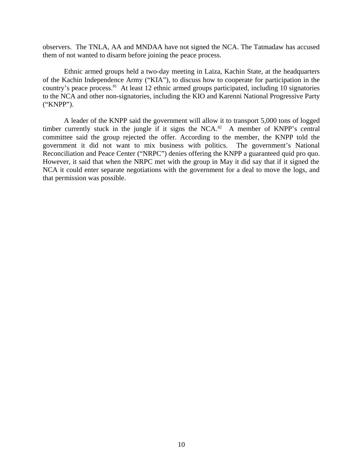observers. The TNLA, AA and MNDAA have not signed the NCA. The Tatmadaw has accused them of not wanted to disarm before joining the peace process.

Ethnic armed groups held a two-day meeting in Laiza, Kachin State, at the headquarters of the Kachin Independence Army ("KIA"), to discuss how to cooperate for participation in the country's peace process.<sup>81</sup> At least 12 ethnic armed groups participated, including 10 signatories to the NCA and other non-signatories, including the KIO and Karenni National Progressive Party ("KNPP").

A leader of the KNPP said the government will allow it to transport 5,000 tons of logged timber currently stuck in the jungle if it signs the NCA. $a^2$  A member of KNPP's central committee said the group rejected the offer. According to the member, the KNPP told the government it did not want to mix business with politics. The government's National Reconciliation and Peace Center ("NRPC") denies offering the KNPP a guaranteed quid pro quo. However, it said that when the NRPC met with the group in May it did say that if it signed the NCA it could enter separate negotiations with the government for a deal to move the logs, and that permission was possible.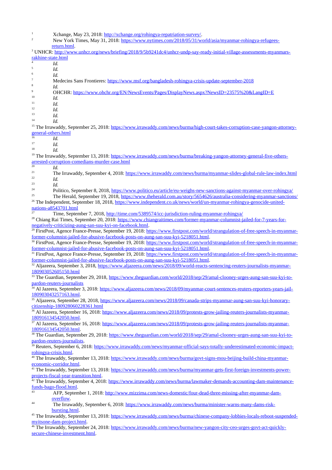- 1 Xchange, May 23, 2018: [http://xchange.org/rohingya-repatriation-survey/.](http://xchange.org/rohingya-repatriation-survey/)
- 2 New York Times, May 31, 2018: [https://www.nytimes.com/2018/05/31/world/asia/myanmar-rohingya-refugees](https://www.nytimes.com/2018/05/31/world/asia/myanmar-rohingya-refugees-return.html)[return.html](https://www.nytimes.com/2018/05/31/world/asia/myanmar-rohingya-refugees-return.html).
- <sup>3</sup> UNHCR: [http://www.unhcr.org/news/briefing/2018/9/5b9241dc4/unhcr-undp-say-ready-initial-village-assessments-myanmars](http://www.unhcr.org/news/briefing/2018/9/5b9241dc4/unhcr-undp-say-ready-initial-village-assessments-myanmars-rakhine-state.html)[rakhine-state.html](http://www.unhcr.org/news/briefing/2018/9/5b9241dc4/unhcr-undp-say-ready-initial-village-assessments-myanmars-rakhine-state.html) 4 *Id.*
- 5 *Id.*
- 6 *Id.*

7

- Medecins Sans Frontieres: <https://www.msf.org/bangladesh-rohingya-crisis-update-september-2018>
- 8 *Id.*
- 9 OHCHR:<https://www.ohchr.org/EN/NewsEvents/Pages/DisplayNews.aspx?NewsID=23575%20&LangID=E>
- <sup>10</sup> *Id.*
- $11$  *Id.*<br> $12$  *Id.*
- $\frac{12}{13}$  *Id.*
- $13$  *Id.*<br> $14$  *Id.*
- <sup>14</sup> *Id.*

<sup>15</sup> The Irrawaddy, September 25, 2018: [https://www.irrawaddy.com/news/burma/high-court-takes-corruption-case-yangon-attorney](https://www.irrawaddy.com/news/burma/high-court-takes-corruption-case-yangon-attorney-general-others.html)[general-others.html](https://www.irrawaddy.com/news/burma/high-court-takes-corruption-case-yangon-attorney-general-others.html)

 $16 \t\t\t Id.$ <br> $17 \t\t\t Id.$ 

<sup>17</sup> *Id.*

<sup>18</sup> *Id.*

<sup>19</sup> The Irrawaddy, September 13, 2018: [https://www.irrawaddy.com/news/burma/breaking-yangon-attorney-general-five-others](https://www.irrawaddy.com/news/burma/breaking-yangon-attorney-general-five-others-arrested-corruption-comedians-murder-case.html)[arrested-corruption-comedians-murder-case.html](https://www.irrawaddy.com/news/burma/breaking-yangon-attorney-general-five-others-arrested-corruption-comedians-murder-case.html)

 $\frac{20}{21}$  *Id.* 

<sup>21</sup> The Irrawaddy, September 4, 2018:<https://www.irrawaddy.com/news/burma/myanmar-slides-global-rule-law-index.html>  $\frac{22}{23}$  *Id.* 

 $\frac{23}{24}$  *Id.* 

<sup>24</sup> Politico, September 8, 2018, <https://www.politico.eu/article/eu-weighs-new-sanctions-against-myanmar-over-rohingya/><br><sup>25</sup> The Martin 19, 2018, https://www.politico.eu/article/eu-weighs-new-sanctions-against-myanmar-ove

<sup>25</sup> The Herald, September 19, 2018, <https://www.theherald.com.au/story/5654626/australia-considering-myanmar-sanctions/> <sup>26</sup> The Independent, September 18, 2018, [https://www.independent.co.uk/news/world/un-myanmar-rohingya-genocide-united-](https://www.independent.co.uk/news/world/un-myanmar-rohingya-genocide-united-nations-a8543701.html)

#### [nations-a8543701.html](https://www.independent.co.uk/news/world/un-myanmar-rohingya-genocide-united-nations-a8543701.html)

<sup>27</sup> Time, September 7, 2018, <http://time.com/5389574/icc-jurisdiction-ruling-myanmar-rohingya/>

<sup>28</sup> Chiang Rai Times, September 20, 2018: [https://www.chiangraitimes.com/former-myanmar-columnist-jailed-for-7-years-for](https://www.chiangraitimes.com/former-myanmar-columnist-jailed-for-7-years-for-negatively-criticizing-aung-san-suu-kyi-on-facebook.html)[negatively-criticizing-aung-san-suu-kyi-on-facebook.html](https://www.chiangraitimes.com/former-myanmar-columnist-jailed-for-7-years-for-negatively-criticizing-aung-san-suu-kyi-on-facebook.html).

<sup>29</sup> FirstPost, Agence France-Presse, September 19, 2018: [https://www.firstpost.com/world/strangulation-of-free-speech-in-myanmar](https://www.firstpost.com/world/strangulation-of-free-speech-in-myanmar-former-columnist-jailed-for-abusive-facebook-posts-on-aung-san-suu-kyi-5218051.html)[former-columnist-jailed-for-abusive-facebook-posts-on-aung-san-suu-kyi-5218051.html](https://www.firstpost.com/world/strangulation-of-free-speech-in-myanmar-former-columnist-jailed-for-abusive-facebook-posts-on-aung-san-suu-kyi-5218051.html).

<sup>30</sup> FirstPost, Agence France-Presse, September 19, 2018: [https://www.firstpost.com/world/strangulation-of-free-speech-in-myanmar](https://www.firstpost.com/world/strangulation-of-free-speech-in-myanmar-former-columnist-jailed-for-abusive-facebook-posts-on-aung-san-suu-kyi-5218051.html)[former-columnist-jailed-for-abusive-facebook-posts-on-aung-san-suu-kyi-5218051.html](https://www.firstpost.com/world/strangulation-of-free-speech-in-myanmar-former-columnist-jailed-for-abusive-facebook-posts-on-aung-san-suu-kyi-5218051.html).

31 FirstPost, Agence France-Presse, September 19, 2018: [https://www.firstpost.com/world/strangulation-of-free-speech-in-myanmar](https://www.firstpost.com/world/strangulation-of-free-speech-in-myanmar-former-columnist-jailed-for-abusive-facebook-posts-on-aung-san-suu-kyi-5218051.html)[former-columnist-jailed-for-abusive-facebook-posts-on-aung-san-suu-kyi-5218051.html](https://www.firstpost.com/world/strangulation-of-free-speech-in-myanmar-former-columnist-jailed-for-abusive-facebook-posts-on-aung-san-suu-kyi-5218051.html).

<sup>32</sup> Aljazeera, September 3, 2018, [https://www.aljazeera.com/news/2018/09/world-reacts-sentencing-reuters-journalists-myanmar-](https://www.aljazeera.com/news/2018/09/world-reacts-sentencing-reuters-journalists-myanmar-180903052605150.html)[180903052605150.html](https://www.aljazeera.com/news/2018/09/world-reacts-sentencing-reuters-journalists-myanmar-180903052605150.html)

<sup>33</sup> The Guardian, September 29, 2018, [https://www.theguardian.com/world/2018/sep/29/amal-clooney-urges-aung-san-suu-kyi-to](https://www.theguardian.com/world/2018/sep/29/amal-clooney-urges-aung-san-suu-kyi-to-pardon-reuters-journalists)[pardon-reuters-journalists](https://www.theguardian.com/world/2018/sep/29/amal-clooney-urges-aung-san-suu-kyi-to-pardon-reuters-journalists)

<sup>34</sup> Al Jazeera, September 3, 2018: <u>https://www.aljazeera.com/news/2018/09/myanmar-court-sentences-reuters-reporters-years-jail-</u> [180903043257163.html](https://www.aljazeera.com/news/2018/09/myanmar-court-sentences-reuters-reporters-years-jail-180903043257163.html).

<sup>35</sup> Aljazeera, September 28, 2018, [https://www.aljazeera.com/news/2018/09/canada-strips-myanmar-aung-san-suu-kyi-honorary](https://www.aljazeera.com/news/2018/09/canada-strips-myanmar-aung-san-suu-kyi-honorary-citizenship-180928060228361.html)[citizenship-180928060228361.html](https://www.aljazeera.com/news/2018/09/canada-strips-myanmar-aung-san-suu-kyi-honorary-citizenship-180928060228361.html)

<sup>36</sup> Al Jazeera, September 16, 2018: [https://www.aljazeera.com/news/2018/09/protests-grow-jailing-reuters-journalists-myanmar-](https://www.aljazeera.com/news/2018/09/protests-grow-jailing-reuters-journalists-myanmar-180916134542050.html)[180916134542050.html](https://www.aljazeera.com/news/2018/09/protests-grow-jailing-reuters-journalists-myanmar-180916134542050.html).

37 Al Jazeera, September 16, 2018: [https://www.aljazeera.com/news/2018/09/protests-grow-jailing-reuters-journalists-myanmar-](https://www.aljazeera.com/news/2018/09/protests-grow-jailing-reuters-journalists-myanmar-180916134542050.html)[180916134542050.html](https://www.aljazeera.com/news/2018/09/protests-grow-jailing-reuters-journalists-myanmar-180916134542050.html).

38 The Guardian, September 29, 2018: [https://www.theguardian.com/world/2018/sep/29/amal-clooney-urges-aung-san-suu-kyi-to](https://www.theguardian.com/world/2018/sep/29/amal-clooney-urges-aung-san-suu-kyi-to-pardon-reuters-journalists)[pardon-reuters-journalists.](https://www.theguardian.com/world/2018/sep/29/amal-clooney-urges-aung-san-suu-kyi-to-pardon-reuters-journalists)

<sup>39</sup> Reuters, September 6, 2018: [https://www.irrawaddy.com/news/myanmar-official-says-totally-underestimated-economic-impact](https://www.irrawaddy.com/news/myanmar-official-says-totally-underestimated-economic-impact-rohingya-crisis.html)[rohingya-crisis.html.](https://www.irrawaddy.com/news/myanmar-official-says-totally-underestimated-economic-impact-rohingya-crisis.html)

The Irrawaddy, September 13, 2018: [https://www.irrawaddy.com/news/burma/govt-signs-mou-beijing-build-china-myanmar](https://www.irrawaddy.com/news/burma/govt-signs-mou-beijing-build-china-myanmar-economic-corridor.html)[economic-corridor.html](https://www.irrawaddy.com/news/burma/govt-signs-mou-beijing-build-china-myanmar-economic-corridor.html).

<sup>41</sup> The Irrawaddy, September 13, 2018: [https://www.irrawaddy.com/news/burma/myanmar-gets-first-foreign-investments-power](https://www.irrawaddy.com/news/burma/myanmar-gets-first-foreign-investments-power-projects-fiscal-year-transition.html)[projects-fiscal-year-transition.html](https://www.irrawaddy.com/news/burma/myanmar-gets-first-foreign-investments-power-projects-fiscal-year-transition.html).

<sup>42</sup> The Irrawaddy, September 4, 2018: [https://www.irrawaddy.com/news/burma/lawmaker-demands-accounting-dam-maintenance](https://www.irrawaddy.com/news/burma/lawmaker-demands-accounting-dam-maintenance-funds-bago-flood.html)[funds-bago-flood.html](https://www.irrawaddy.com/news/burma/lawmaker-demands-accounting-dam-maintenance-funds-bago-flood.html).

43 AFP, September 1, 2018: [http://www.mizzima.com/news-domestic/four-dead-three-missing-after-myanmar-dam](http://www.mizzima.com/news-domestic/four-dead-three-missing-after-myanmar-dam-overflow)[overflow](http://www.mizzima.com/news-domestic/four-dead-three-missing-after-myanmar-dam-overflow).

44 The Irrawaddy, September 6, 2018: [https://www.irrawaddy.com/news/burma/minister-warns-many-dams-risk](https://www.irrawaddy.com/news/burma/minister-warns-many-dams-risk-bursting.html)[bursting.html](https://www.irrawaddy.com/news/burma/minister-warns-many-dams-risk-bursting.html).

<sup>45</sup> The Irrawaddy, September 13, 2018: [https://www.irrawaddy.com/news/burma/chinese-company-lobbies-locals-reboot-suspended](https://www.irrawaddy.com/news/burma/chinese-company-lobbies-locals-reboot-suspended-myitsone-dam-project.html)[myitsone-dam-project.html](https://www.irrawaddy.com/news/burma/chinese-company-lobbies-locals-reboot-suspended-myitsone-dam-project.html).

<sup>46</sup> The Irrawaddy, September 24, 2018: <u>https://www.irrawaddy.com/news/burma/new-yangon-city-ceo-urges-govt-act-quickly-</u> [secure-chinese-investment.html](https://www.irrawaddy.com/news/burma/new-yangon-city-ceo-urges-govt-act-quickly-secure-chinese-investment.html).